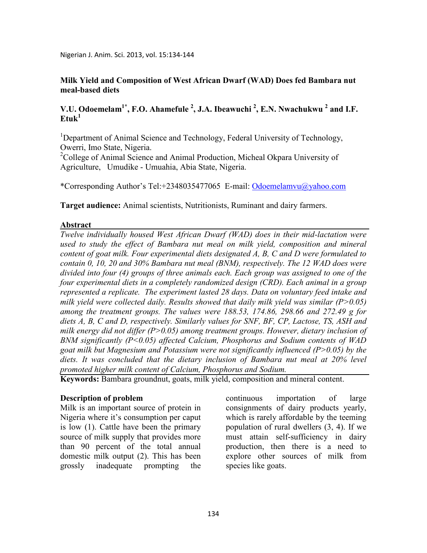## **Milk Yield and Composition of West African Dwarf (WAD) Does fed Bambara nut meal-based diets**

# **V.U. Odoemelam<sup>1\*</sup>, F.O. Ahamefule<sup>2</sup>, J.A. Ibeawuchi<sup>2</sup>, E.N. Nwachukwu<sup>2</sup> and I.F.**  $E$ **fuk**<sup>1</sup>

<sup>1</sup>Department of Animal Science and Technology, Federal University of Technology, Owerri, Imo State, Nigeria.

<sup>2</sup>College of Animal Science and Animal Production, Micheal Okpara University of Agriculture, Umudike - Umuahia, Abia State, Nigeria.

\*Corresponding Author's Tel:+2348035477065 E-mail: Odoemelamvu@yahoo.com

**Target audience:** Animal scientists, Nutritionists, Ruminant and dairy farmers.

### **Abstract**

*Twelve individually housed West African Dwarf (WAD) does in their mid-lactation were used to study the effect of Bambara nut meal on milk yield, composition and mineral content of goat milk. Four experimental diets designated A, B, C and D were formulated to contain 0, 10, 20 and 30% Bambara nut meal (BM), respectively. The 12 WAD does were divided into four (4) groups of three animals each. Each group was assigned to one of the four experimental diets in a completely randomized design (CRD). Each animal in a group represented a replicate. The experiment lasted 28 days. Data on voluntary feed intake and milk yield were collected daily. Results showed that daily milk yield was similar (P>0.05) among the treatment groups. The values were 188.53, 174.86, 298.66 and 272.49 g for*  diets A, B, C and D, respectively. Similarly values for SNF, BF, CP, Lactose, TS, ASH and *milk energy did not differ (P>0.05) among treatment groups. However, dietary inclusion of BM significantly (P<0.05) affected Calcium, Phosphorus and Sodium contents of WAD goat milk but Magnesium and Potassium were not significantly influenced (P>0.05) by the diets. It was concluded that the dietary inclusion of Bambara nut meal at 20% level promoted higher milk content of Calcium, Phosphorus and Sodium.* 

**Keywords:** Bambara groundnut, goats, milk yield, composition and mineral content.

## **Description of problem**

Milk is an important source of protein in Nigeria where it's consumption per caput is low (1). Cattle have been the primary source of milk supply that provides more than 90 percent of the total annual domestic milk output (2). This has been grossly inadequate prompting the

continuous importation of large consignments of dairy products yearly, which is rarely affordable by the teeming population of rural dwellers (3, 4). If we must attain self-sufficiency in dairy production, then there is a need to explore other sources of milk from species like goats.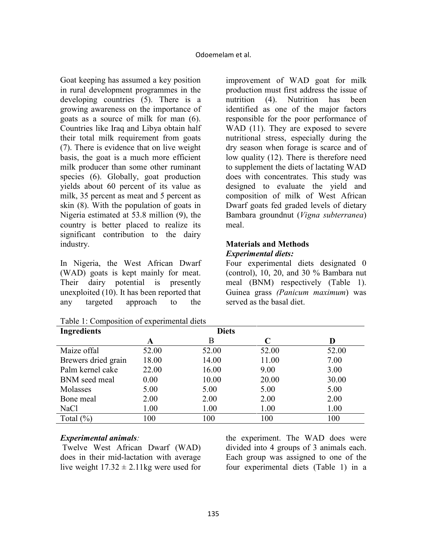Goat keeping has assumed a key position in rural development programmes in the developing countries (5). There is a growing awareness on the importance of goats as a source of milk for man (6). Countries like Iraq and Libya obtain half their total milk requirement from goats (7). There is evidence that on live weight basis, the goat is a much more efficient milk producer than some other ruminant species (6). Globally, goat production yields about 60 percent of its value as milk, 35 percent as meat and 5 percent as skin (8). With the population of goats in Nigeria estimated at 53.8 million (9), the country is better placed to realize its significant contribution to the dairy industry.

In Nigeria, the West African Dwarf (WAD) goats is kept mainly for meat. Their dairy potential is presently unexploited (10). It has been reported that any targeted approach to the

| Table 1: Composition of experimental diets |  |
|--------------------------------------------|--|
|--------------------------------------------|--|

improvement of WAD goat for milk production must first address the issue of nutrition (4). Nutrition has been identified as one of the major factors responsible for the poor performance of WAD (11). They are exposed to severe nutritional stress, especially during the dry season when forage is scarce and of low quality (12). There is therefore need to supplement the diets of lactating WAD does with concentrates. This study was designed to evaluate the yield and composition of milk of West African Dwarf goats fed graded levels of dietary Bambara groundnut (*Vigna subterranea*) meal.

### **Materials and Methods**  *Experimental diets:*

Four experimental diets designated 0 (control), 10, 20, and 30 % Bambara nut meal (BNM) respectively (Table 1). Guinea grass *(Panicum maximum*) was served as the basal diet.

| <b>Ingredients</b>  | <b>Diets</b> |       |       |       |  |
|---------------------|--------------|-------|-------|-------|--|
|                     | A            | B     | C     |       |  |
| Maize offal         | 52.00        | 52.00 | 52.00 | 52.00 |  |
| Brewers dried grain | 18.00        | 14.00 | 11.00 | 7.00  |  |
| Palm kernel cake    | 22.00        | 16.00 | 9.00  | 3.00  |  |
| BNM seed meal       | 0.00         | 10.00 | 20.00 | 30.00 |  |
| Molasses            | 5.00         | 5.00  | 5.00  | 5.00  |  |
| Bone meal           | 2.00         | 2.00  | 2.00  | 2.00  |  |
| NaCl                | 1.00         | 1.00  | 1.00  | 1.00  |  |
| Total $(\% )$       | 100          | 100   | 100   | 100   |  |

## *Experimental animals:*

 Twelve West African Dwarf (WAD) does in their mid-lactation with average live weight  $17.32 \pm 2.11$ kg were used for

the experiment. The WAD does were divided into 4 groups of 3 animals each. Each group was assigned to one of the four experimental diets (Table 1) in a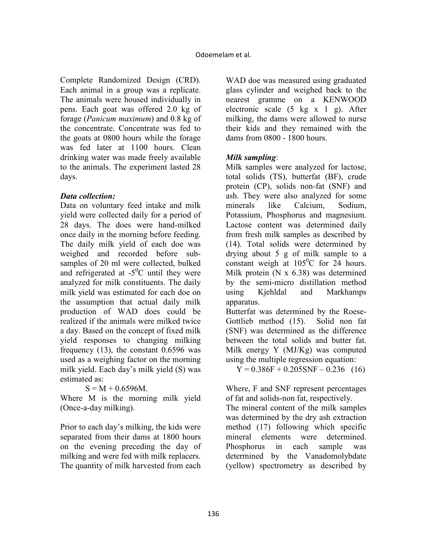Complete Randomized Design (CRD). Each animal in a group was a replicate. The animals were housed individually in pens. Each goat was offered 2.0 kg of forage (*Panicum maximum*) and 0.8 kg of the concentrate. Concentrate was fed to the goats at 0800 hours while the forage was fed later at 1100 hours. Clean drinking water was made freely available to the animals. The experiment lasted 28 days.

# *Data collection:*

Data on voluntary feed intake and milk yield were collected daily for a period of 28 days. The does were hand-milked once daily in the morning before feeding. The daily milk yield of each doe was weighed and recorded before subsamples of 20 ml were collected, bulked and refrigerated at  $-5^{\circ}$ C until they were analyzed for milk constituents. The daily milk yield was estimated for each doe on the assumption that actual daily milk production of WAD does could be realized if the animals were milked twice a day. Based on the concept of fixed milk yield responses to changing milking frequency (13), the constant 0.6596 was used as a weighing factor on the morning milk yield. Each day's milk yield (S) was estimated as:

 $S = M + 0.6596M$ .

Where M is the morning milk yield (Once-a-day milking).

Prior to each day's milking, the kids were separated from their dams at 1800 hours on the evening preceding the day of milking and were fed with milk replacers. The quantity of milk harvested from each WAD doe was measured using graduated glass cylinder and weighed back to the nearest gramme on a KENWOOD electronic scale (5 kg x 1 g). After milking, the dams were allowed to nurse their kids and they remained with the dams from 0800 - 1800 hours.

# *Milk sampling*:

Milk samples were analyzed for lactose, total solids (TS), butterfat (BF), crude protein (CP), solids non-fat (SNF) and ash. They were also analyzed for some minerals like Calcium, Sodium, Potassium, Phosphorus and magnesium. Lactose content was determined daily from fresh milk samples as described by (14). Total solids were determined by drying about 5 g of milk sample to a constant weigh at  $105^{\circ}$ C for 24 hours. Milk protein (N x 6.38) was determined by the semi-micro distillation method using Kjehldal and Markhamps apparatus.

Butterfat was determined by the Roese-Gottlieb method (15). Solid non fat (SNF) was determined as the difference between the total solids and butter fat. Milk energy Y (MJ/Kg) was computed using the multiple regression equation:

 $Y = 0.386F + 0.205SNF - 0.236$  (16)

Where, F and SNF represent percentages of fat and solids-non fat, respectively.

The mineral content of the milk samples was determined by the dry ash extraction method (17) following which specific mineral elements were determined. Phosphorus in each sample was determined by the Vanadomolybdate (yellow) spectrometry as described by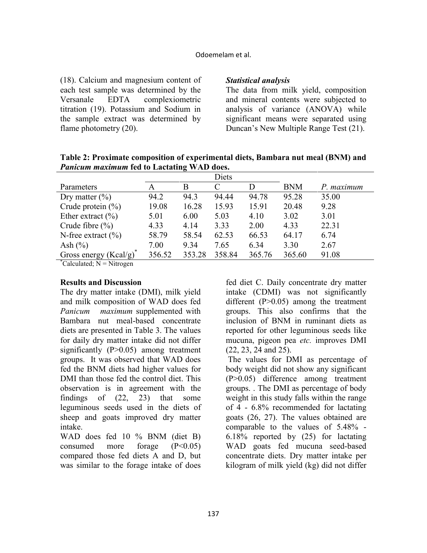#### Odoemelam et al.

(18). Calcium and magnesium content of each test sample was determined by the Versanale EDTA complexiometric titration (19). Potassium and Sodium in the sample extract was determined by flame photometry  $(20)$ .

### *Statistical analysis*

The data from milk yield, composition and mineral contents were subjected to analysis of variance (ANOVA) while significant means were separated using Duncan's New Multiple Range Test (21).

Table 2: Proximate composition of experimental diets, Bambara nut meal (BNM) and *Panicum maximum* **fed to Lactating WAD does.** 

|                                                                                                                                            |        |        | Diets  |        |            |            |
|--------------------------------------------------------------------------------------------------------------------------------------------|--------|--------|--------|--------|------------|------------|
| Parameters                                                                                                                                 |        | B      | C      |        | <b>BNM</b> | P. maximum |
| Dry matter $(\% )$                                                                                                                         | 94.2   | 94.3   | 94.44  | 94.78  | 95.28      | 35.00      |
| Crude protein $(\% )$                                                                                                                      | 19.08  | 16.28  | 15.93  | 15.91  | 20.48      | 9.28       |
| Ether extract $(\% )$                                                                                                                      | 5.01   | 6.00   | 5.03   | 4.10   | 3.02       | 3.01       |
| Crude fibre $(\% )$                                                                                                                        | 4.33   | 4.14   | 3.33   | 2.00   | 4.33       | 22.31      |
| N-free extract $(\% )$                                                                                                                     | 58.79  | 58.54  | 62.53  | 66.53  | 64.17      | 6.74       |
| Ash $(\% )$                                                                                                                                | 7.00   | 9.34   | 7.65   | 6.34   | 3.30       | 2.67       |
| Gross energy $(Kcal/g)^*$<br>$\frac{1}{2}$ , $\frac{1}{2}$ , $\frac{1}{2}$ , $\frac{1}{2}$ , $\frac{1}{2}$ , $\frac{1}{2}$ , $\frac{1}{2}$ | 356.52 | 353.28 | 358.84 | 365.76 | 365.60     | 91.08      |

 $^{\circ}$ Calculated; N = Nitrogen

### **Results and Discussion**

The dry matter intake (DMI), milk yield and milk composition of WAD does fed *Panicum maximum* supplemented with Bambara nut meal-based concentrate diets are presented in Table 3. The values for daily dry matter intake did not differ significantly (P>0.05) among treatment groups. It was observed that WAD does fed the BNM diets had higher values for DMI than those fed the control diet. This observation is in agreement with the findings of (22, 23) that some leguminous seeds used in the diets of sheep and goats improved dry matter intake.

WAD does fed 10 % BNM (diet B) consumed more forage  $(P<0.05)$ compared those fed diets A and D, but was similar to the forage intake of does

fed diet C. Daily concentrate dry matter intake (CDMI) was not significantly different  $(P>0.05)$  among the treatment groups. This also confirms that the inclusion of BNM in ruminant diets as reported for other leguminous seeds like mucuna, pigeon pea *etc.* improves DMI (22, 23, 24 and 25).

 The values for DMI as percentage of body weight did not show any significant (P>0.05) difference among treatment groups. . The DMI as percentage of body weight in this study falls within the range of 4 - 6.8% recommended for lactating goats (26, 27). The values obtained are comparable to the values of 5.48% - 6.18% reported by (25) for lactating WAD goats fed mucuna seed-based concentrate diets. Dry matter intake per kilogram of milk yield (kg) did not differ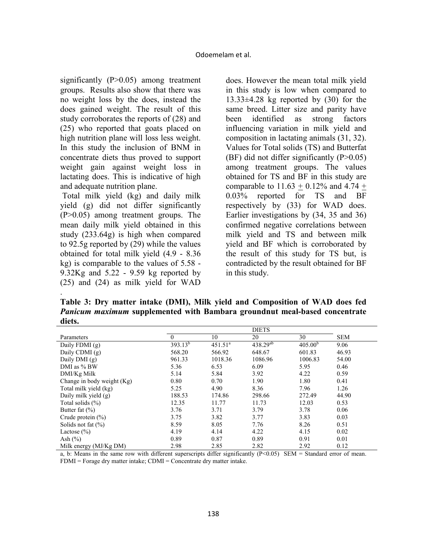significantly (P>0.05) among treatment groups. Results also show that there was no weight loss by the does, instead the does gained weight. The result of this study corroborates the reports of (28) and (25) who reported that goats placed on high nutrition plane will loss less weight. In this study the inclusion of BNM in concentrate diets thus proved to support weight gain against weight loss in lactating does. This is indicative of high and adequate nutrition plane.

 Total milk yield (kg) and daily milk yield (g) did not differ significantly (P>0.05) among treatment groups. The mean daily milk yield obtained in this study (233.64g) is high when compared to 92.5g reported by (29) while the values obtained for total milk yield (4.9 - 8.36 kg) is comparable to the values of 5.58 - 9.32Kg and 5.22 - 9.59 kg reported by (25) and (24) as milk yield for WAD

.

does. However the mean total milk yield in this study is low when compared to  $13.33\pm4.28$  kg reported by  $(30)$  for the same breed. Litter size and parity have been identified as strong factors influencing variation in milk yield and composition in lactating animals (31, 32). Values for Total solids (TS) and Butterfat (BF) did not differ significantly  $(P>0.05)$ among treatment groups. The values obtained for TS and BF in this study are comparable to  $11.63 + 0.12\%$  and  $4.74 +$ 0.03% reported for TS and BF respectively by (33) for WAD does. Earlier investigations by (34, 35 and 36) confirmed negative correlations between milk yield and TS and between milk yield and BF which is corroborated by the result of this study for TS but, is contradicted by the result obtained for BF in this study.

**Table 3: Dry matter intake (DMI), Milk yield and Composition of WAD does fed**  *Panicum maximum* **supplemented with Bambara groundnut meal-based concentrate diets.** 

|                            | <b>DIETS</b> |                     |               |                     |            |
|----------------------------|--------------|---------------------|---------------|---------------------|------------|
| Parameters                 | $\theta$     | 10                  | 20            | 30                  | <b>SEM</b> |
| Daily FDMI (g)             | $393.13^{b}$ | 451.51 <sup>a</sup> | $438.29^{ab}$ | 405.00 <sup>b</sup> | 9.06       |
| Daily CDMI $(g)$           | 568.20       | 566.92              | 648.67        | 601.83              | 46.93      |
| Daily DMI $(g)$            | 961.33       | 1018.36             | 1086.96       | 1006.83             | 54.00      |
| DMI as % BW                | 5.36         | 6.53                | 6.09          | 5.95                | 0.46       |
| DMI/Kg Milk                | 5.14         | 5.84                | 3.92          | 4.22                | 0.59       |
| Change in body weight (Kg) | 0.80         | 0.70                | 1.90          | 1.80                | 0.41       |
| Total milk yield (kg)      | 5.25         | 4.90                | 8.36          | 7.96                | 1.26       |
| Daily milk yield $(g)$     | 188.53       | 174.86              | 298.66        | 272.49              | 44.90      |
| Total solids $(\% )$       | 12.35        | 11.77               | 11.73         | 12.03               | 0.53       |
| Butter fat $(\% )$         | 3.76         | 3.71                | 3.79          | 3.78                | 0.06       |
| Crude protein $(\% )$      | 3.75         | 3.82                | 3.77          | 3.83                | 0.03       |
| Solids not fat $(\% )$     | 8.59         | 8.05                | 7.76          | 8.26                | 0.51       |
| Lactose $(\% )$            | 4.19         | 4.14                | 4.22          | 4.15                | 0.02       |
| Ash $(\% )$                | 0.89         | 0.87                | 0.89          | 0.91                | 0.01       |
| Milk energy $(MJ/Kg DM)$   | 2.98         | 2.85                | 2.82          | 2.92                | 0.12       |

a, b: Means in the same row with different superscripts differ significantly  $(P<0.05)$  SEM = Standard error of mean. FDMI = Forage dry matter intake; CDMI = Concentrate dry matter intake.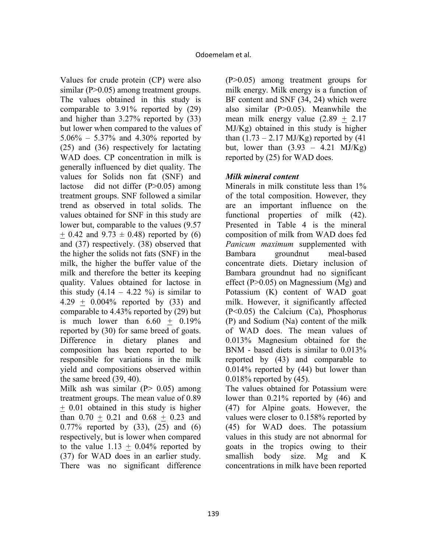Values for crude protein (CP) were also similar (P>0.05) among treatment groups. The values obtained in this study is comparable to 3.91% reported by (29) and higher than 3.27% reported by (33) but lower when compared to the values of 5.06% – 5.37% and 4.30% reported by (25) and (36) respectively for lactating WAD does. CP concentration in milk is generally influenced by diet quality. The values for Solids non fat (SNF) and lactose did not differ (P>0.05) among treatment groups. SNF followed a similar trend as observed in total solids. The values obtained for SNF in this study are lower but, comparable to the values (9.57  $+ 0.42$  and  $9.73 \pm 0.48$ ) reported by (6) and (37) respectively. (38) observed that the higher the solids not fats (SNF) in the milk, the higher the buffer value of the milk and therefore the better its keeping quality. Values obtained for lactose in this study  $(4.14 - 4.22 \%)$  is similar to 4.29 + 0.004% reported by (33) and comparable to 4.43% reported by (29) but is much lower than  $6.60 + 0.19\%$ reported by (30) for same breed of goats. Difference in dietary planes and composition has been reported to be responsible for variations in the milk yield and compositions observed within the same breed (39, 40).

Milk ash was similar  $(P> 0.05)$  among treatment groups. The mean value of 0.89 + 0.01 obtained in this study is higher than 0.70 + 0.21 and 0.68 + 0.23 and 0.77% reported by (33), (25) and (6) respectively, but is lower when compared to the value  $1.13 + 0.04\%$  reported by (37) for WAD does in an earlier study. There was no significant difference

(P>0.05) among treatment groups for milk energy. Milk energy is a function of BF content and SNF (34, 24) which were also similar (P>0.05). Meanwhile the mean milk energy value  $(2.89 \pm 2.17)$ MJ/Kg) obtained in this study is higher than  $(1.73 - 2.17 \text{ MJ/Kg})$  reported by  $(41$ but, lower than  $(3.93 - 4.21 \text{ MJ/Kg})$ reported by (25) for WAD does.

# *Milk mineral content*

Minerals in milk constitute less than 1% of the total composition. However, they are an important influence on the functional properties of milk (42). Presented in Table 4 is the mineral composition of milk from WAD does fed *Panicum maximum* supplemented with Bambara groundnut meal-based concentrate diets. Dietary inclusion of Bambara groundnut had no significant effect  $(P>0.05)$  on Magnessium (Mg) and Potassium (K) content of WAD goat milk. However, it significantly affected (P<0.05) the Calcium (Ca), Phosphorus (P) and Sodium (Na) content of the milk of WAD does. The mean values of 0.013% Magnesium obtained for the BNM - based diets is similar to 0.013% reported by (43) and comparable to 0.014% reported by (44) but lower than 0.018% reported by (45).

The values obtained for Potassium were lower than 0.21% reported by (46) and (47) for Alpine goats. However, the values were closer to 0.158% reported by (45) for WAD does. The potassium values in this study are not abnormal for goats in the tropics owing to their smallish body size. Mg and K concentrations in milk have been reported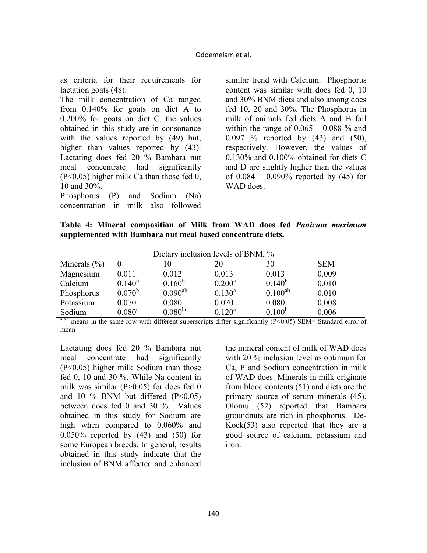as criteria for their requirements for lactation goats (48).

The milk concentration of Ca ranged from 0.140% for goats on diet A to 0.200% for goats on diet C. the values obtained in this study are in consonance with the values reported by (49) but, higher than values reported by  $(43)$ . Lactating does fed 20 % Bambara nut meal concentrate had significantly (P<0.05) higher milk Ca than those fed 0, 10 and 30%.

Phosphorus (P) and Sodium (Na) concentration in milk also followed

similar trend with Calcium. Phosphorus content was similar with does fed 0, 10 and 30% BNM diets and also among does fed 10, 20 and 30%. The Phosphorus in milk of animals fed diets A and B fall within the range of  $0.065 - 0.088$  % and 0.097 % reported by (43) and (50), respectively. However, the values of 0.130% and 0.100% obtained for diets C and D are slightly higher than the values of  $0.084 - 0.090\%$  reported by  $(45)$  for WAD does

**Table 4: Mineral composition of Milk from WAD does fed** *Panicum maximum* **supplemented with Bambara nut meal based concentrate diets.** 

| Dietary inclusion levels of BNM, % |                    |              |             |              |            |
|------------------------------------|--------------------|--------------|-------------|--------------|------------|
| Minerals $(\% )$                   |                    | 10           | 20          | 30           | <b>SEM</b> |
| Magnesium                          | 0.011              | 0.012        | 0.013       | 0.013        | 0.009      |
| Calcium                            | $0.140^{b}$        | $0.160^{b}$  | $0.200^a$   | $0.140^{b}$  | 0.010      |
| Phosphorus                         | $0.070^{b}$        | $0.090^{ab}$ | $0.130^{a}$ | $0.100^{ab}$ | 0.010      |
| Potassium                          | 0.070              | 0.080        | 0.070       | 0.080        | 0.008      |
| Sodium                             | 0.080 <sup>c</sup> | $0.080^{bc}$ | $0.120^a$   | $0.100^{b}$  | 0.006      |

a,b.c means in the same row with different superscripts differ significantly (P<0.05) SEM= Standard error of mean

Lactating does fed 20 % Bambara nut meal concentrate had significantly (P<0.05) higher milk Sodium than those fed 0, 10 and 30 %. While Na content in milk was similar ( $P > 0.05$ ) for does fed 0 and 10  $\%$  BNM but differed (P<0.05) between does fed 0 and 30 %. Values obtained in this study for Sodium are high when compared to 0.060% and 0.050% reported by (43) and (50) for some European breeds. In general, results obtained in this study indicate that the inclusion of BNM affected and enhanced

the mineral content of milk of WAD does with 20 % inclusion level as optimum for Ca, P and Sodium concentration in milk of WAD does. Minerals in milk originate from blood contents (51) and diets are the primary source of serum minerals (45). Olomu (52) reported that Bambara groundnuts are rich in phosphorus. De-Kock(53) also reported that they are a good source of calcium, potassium and iron.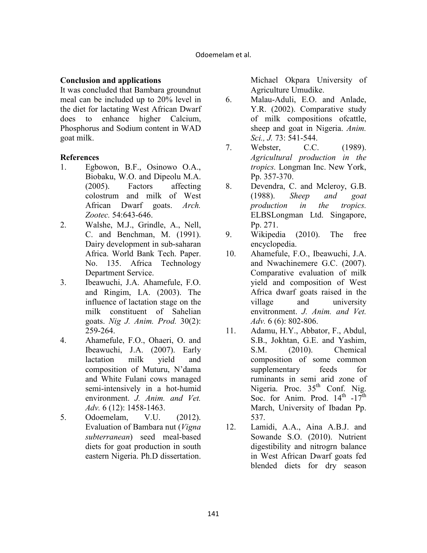# **Conclusion and applications**

It was concluded that Bambara groundnut meal can be included up to 20% level in the diet for lactating West African Dwarf does to enhance higher Calcium, Phosphorus and Sodium content in WAD goat milk.

## **References**

- 1. Egbowon, B.F., Osinowo O.A., Biobaku, W.O. and Dipeolu M.A. (2005). Factors affecting colostrum and milk of West African Dwarf goats. *Arch. Zootec.* 54:643-646.
- 2. Walshe, M.J., Grindle, A., Nell, C. and Benchman, M. (1991). Dairy development in sub-saharan Africa. World Bank Tech. Paper. No. 135. Africa Technology Department Service.
- 3. Ibeawuchi, J.A. Ahamefule, F.O. and Ringim, I.A. (2003). The influence of lactation stage on the milk constituent of Sahelian goats. *ig J. Anim. Prod.* 30(2): 259-264.
- 4. Ahamefule, F.O., Ohaeri, O. and Ibeawuchi, J.A. (2007). Early lactation milk yield and composition of Muturu, N'dama and White Fulani cows managed semi-intensively in a hot-humid environment. *J. Anim. and Vet. Adv.* 6 (12): 1458-1463.
- 5. Odoemelam, V.U. (2012). Evaluation of Bambara nut (*Vigna subterranean*) seed meal-based diets for goat production in south eastern Nigeria. Ph.D dissertation.

Michael Okpara University of Agriculture Umudike.

- 6. Malau-Aduli, E.O. and Anlade, Y.R. (2002). Comparative study of milk compositions ofcattle, sheep and goat in Nigeria. *Anim. Sci., J.* 73: 541-544.
- 7. Webster, C.C. (1989). *Agricultural production in the tropics.* Longman Inc. New York, Pp. 357-370.
- 8. Devendra, C. and Mcleroy, G.B. (1988). *Sheep and goat production in the tropics.* ELBSLongman Ltd. Singapore, Pp. 271.
- 9. Wikipedia (2010). The free encyclopedia.
- 10. Ahamefule, F.O., Ibeawuchi, J.A. and Nwachinemere G.C. (2007). Comparative evaluation of milk yield and composition of West Africa dwarf goats raised in the village and university envitronment. *J. Anim. and Vet. Adv.* 6 (6): 802-806.
- 11. Adamu, H.Y., Abbator, F., Abdul, S.B., Jokhtan, G.E. and Yashim, S.M. (2010). Chemical composition of some common supplementary feeds for ruminants in semi arid zone of Nigeria. Proc.  $35<sup>th</sup>$  Conf. Nig. Soc. for Anim. Prod.  $14^{\text{th}}$  -17<sup>th</sup> March, University of Ibadan Pp. 537.
- 12. Lamidi, A.A., Aina A.B.J. and Sowande S.O. (2010). Nutrient digestibility and nitrogrn balance in West African Dwarf goats fed blended diets for dry season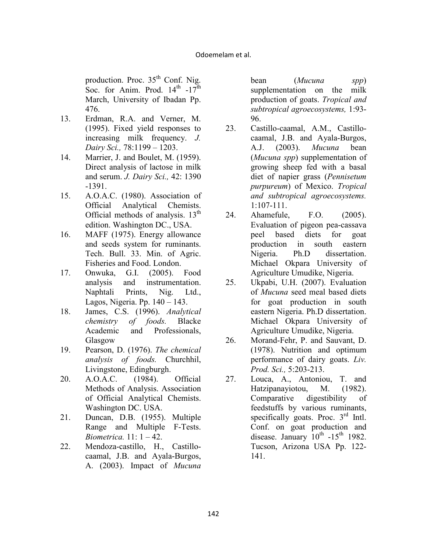production. Proc.  $35<sup>th</sup>$  Conf. Nig. Soc. for Anim. Prod.  $14^{\text{th}}$  -17<sup>th</sup> March, University of Ibadan Pp. 476.

- 13. Erdman, R.A. and Verner, M. (1995). Fixed yield responses to increasing milk frequency. *J. Dairy Sci.,* 78:1199 – 1203.
- 14. Marrier, J. and Boulet, M. (1959). Direct analysis of lactose in milk and serum. *J. Dairy Sci.,* 42: 1390 -1391.
- 15. A.O.A.C. (1980). Association of Official Analytical Chemists. Official methods of analysis.  $13<sup>th</sup>$ edition. Washington DC., USA.
- 16. MAFF (1975). Energy allowance and seeds system for ruminants. Tech. Bull. 33. Min. of Agric. Fisheries and Food. London.
- 17. Onwuka, G.I. (2005). Food analysis and instrumentation. Naphtali Prints, Nig. Ltd., Lagos, Nigeria. Pp. 140 – 143.
- 18. James, C.S. (1996). *Analytical chemistry of foods.* Blacke Academic and Professionals, Glasgow
- 19. Pearson, D. (1976). *The chemical analysis of foods.* Churchhil, Livingstone, Edingburgh.
- 20. A.O.A.C. (1984). Official Methods of Analysis. Association of Official Analytical Chemists. Washington DC. USA.
- 21. Duncan, D.B. (1955). Multiple Range and Multiple F-Tests. *Biometrica.* 11: 1 – 42.
- 22. Mendoza-castillo, H., Castillocaamal, J.B. and Ayala-Burgos, A. (2003). Impact of *Mucuna*

bean (*Mucuna spp*) supplementation on the milk production of goats. *Tropical and subtropical agroecosystems,* 1:93- 96.

- 23. Castillo-caamal, A.M., Castillocaamal, J.B. and Ayala-Burgos, A.J. (2003). *Mucuna* bean (*Mucuna spp*) supplementation of growing sheep fed with a basal diet of napier grass (*Pennisetum purpureum*) of Mexico. *Tropical and subtropical agroecosystems.*  1:107-111.
- 24. Ahamefule, F.O. (2005). Evaluation of pigeon pea-cassava peel based diets for goat production in south eastern Nigeria. Ph.D dissertation. Michael Okpara University of Agriculture Umudike, Nigeria.
- 25. Ukpabi, U.H. (2007). Evaluation of *Mucuna* seed meal based diets for goat production in south eastern Nigeria. Ph.D dissertation. Michael Okpara University of Agriculture Umudike, Nigeria.
- 26. Morand-Fehr, P. and Sauvant, D. (1978). Nutrition and optimum performance of dairy goats. *Liv. Prod. Sci.,* 5:203-213.
- 27. Louca, A., Antoniou, T. and Hatzipanayiotou, M. (1982). Comparative digestibility of feedstuffs by various ruminants, specifically goats. Proc.  $3<sup>rd</sup>$  Intl. Conf. on goat production and disease. January  $10^{th}$  -15<sup>th</sup> 1982. Tucson, Arizona USA Pp. 122- 141.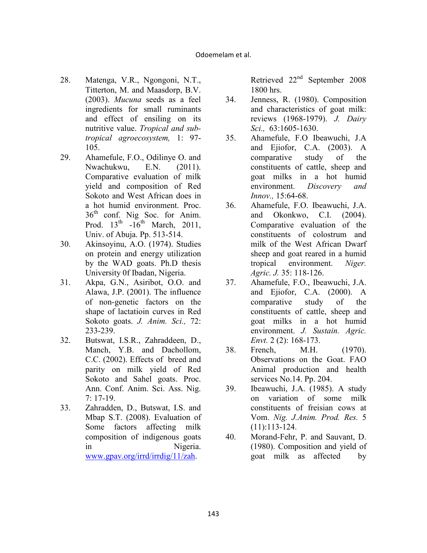- 28. Matenga, V.R., Ngongoni, N.T., Titterton, M. and Maasdorp, B.V. (2003). *Mucuna* seeds as a feel ingredients for small ruminants and effect of ensiling on its nutritive value. *Tropical and subtropical agroecosystem,* 1: 97- 105.
- 29. Ahamefule, F.O., Odilinye O. and Nwachukwu, E.N. (2011). Comparative evaluation of milk yield and composition of Red Sokoto and West African does in a hot humid environment. Proc.  $36<sup>th</sup>$  conf. Nig Soc. for Anim. Prod.  $13<sup>th</sup> -16<sup>th</sup>$  March, 2011, Univ. of Abuja. Pp. 513-514.
- 30. Akinsoyinu, A.O. (1974). Studies on protein and energy utilization by the WAD goats. Ph.D thesis University 0f Ibadan, Nigeria.
- 31. Akpa, G.N., Asiribot, O.O. and Alawa, J.P. (2001). The influence of non-genetic factors on the shape of lactatioin curves in Red Sokoto goats. *J. Anim. Sci.,* 72: 233-239.
- 32. Butswat, I.S.R., Zahraddeen, D., Manch, Y.B. and Dachollom, C.C. (2002). Effects of breed and parity on milk yield of Red Sokoto and Sahel goats. Proc. Ann. Conf. Anim. Sci. Ass. Nig. 7: 17-19.
- 33. Zahradden, D., Butswat, I.S. and Mbap S.T. (2008). Evaluation of Some factors affecting milk composition of indigenous goats in Nigeria. www.gpav.org/irrd/irrdig/11/zah.

Retrieved 22<sup>nd</sup> September 2008 1800 hrs.

- 34. Jenness, R. (1980). Composition and characteristics of goat milk: reviews (1968-1979). *J. Dairy Sci.,* 63:1605-1630.
- 35. Ahamefule, F.O Ibeawuchi, J.A and Ejiofor, C.A. (2003). A comparative study of the constituents of cattle, sheep and goat milks in a hot humid environment. *Discovery and Innov.,* 15:64-68.
- 36. Ahamefule, F.O. Ibeawuchi, J.A. and Okonkwo, C.I. (2004). Comparative evaluation of the constituents of colostrum and milk of the West African Dwarf sheep and goat reared in a humid tropical environment. *Niger. Agric. J.* 35: 118-126.
- 37. Ahamefule, F.O., Ibeawuchi, J.A. and Ejiofor, C.A. (2000). A comparative study of the constituents of cattle, sheep and goat milks in a hot humid environment. *J. Sustain. Agric. Envt.* 2 (2): 168-173.
- 38. French, M.H. (1970). Observations on the Goat. FAO Animal production and health services No.14. Pp. 204.
- 39. Ibeawuchi, J.A. (1985). A study on variation of some milk constituents of freisian cows at Vom. *ig. J.Anim. Prod. Res.* 5 (11):113-124.
- 40. Morand-Fehr, P. and Sauvant, D. (1980). Composition and yield of goat milk as affected by